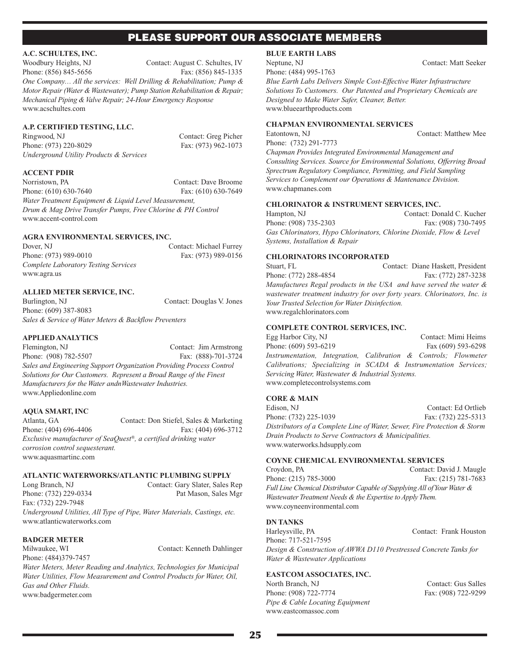#### **A.C. SCHULTES, INC.**

Woodbury Heights, NJ Contact: August C. Schultes, IV Phone: (856) 845-5656 Fax: (856) 845-1335

*One Company… All the services: Well Drilling & Rehabilitation; Pump & Motor Repair (Water & Wastewater); Pump Station Rehabilitation & Repair; Mechanical Piping &Valve Repair; 24-Hour Emergency Response* www.acschultes.com

#### **A.P. CERTIFIED TESTING, LLC.**

Ringwood, NJ Contact: Greg Picher Phone: (973) 220-8029 Fax: (973) 962-1073 *Underground Utility Products & Services*

#### **ACCENT PDIR**

Norristown, PA Contact: Dave Broome Phone: (610) 630-7640 Fax: (610) 630-7649 *Water Treatment Equipment & Liquid Level Measurement, Drum & Mag Drive Transfer Pumps, Free Chlorine & PH Control* www.accent-control.com

#### **AGRA ENVIRONMENTAL SERVICES, INC.**

Dover, NJ Contact: Michael Furrey Phone: (973) 989-0010 Fax: (973) 989-0156 *Complete Laboratory Testing Services* www.agra.us

#### **ALLIED METER SERVICE, INC.**

Burlington, NJ Contact: Douglas V. Jones Phone: (609) 387-8083 *Sales & Service of Water Meters & Backflow Preventers*

#### **APPLIED ANALYTICS**

Flemington, NJ Contact: Jim Armstrong Phone: (908) 782-5507 Fax: (888)-701-3724 *Sales and Engineering Support Organization Providing Process Control Solutions for Our Customers. Represent a Broad Range of the Finest Manufacturers for the Water andnWastewater Industries.* www.Appliedonline.com

#### **AQUA SMART, INC**

Atlanta, GA Contact: Don Stiefel, Sales & Marketing Phone: (404) 696-4406 Fax: (404) 696-3712 *Exclusive manufacturer of SeaQuest ®, a certified drinking water corrosion control sequesterant.* www.aquasmartinc.com

### **ATLANTIC WATERWORKS/ATLANTIC PLUMBING SUPPLY**

Long Branch, NJ Contact: Gary Slater, Sales Rep Phone: (732) 229-0334 Pat Mason, Sales Mgr Fax: (732) 229-7948 *Underground Utilities, All Type of Pipe, Water Materials, Castings, etc.* www.atlanticwaterworks.com

# **BADGER METER**

Milwaukee, WI Contact: Kenneth Dahlinger

Phone: (484)379-7457 *Water Meters, Meter Reading and Analytics, Technologies for Municipal Water Utilities, Flow Measurement and Control Products for Water, Oil, Gas and Other Fluids.* www.badgermeter.com

**BLUE EARTH LABS**

Phone: (484) 995-1763

*Blue Earth Labs Delivers Simple Cost-Effective Water Infrastructure Solutions To Customers. Our Patented and Proprietary Chemicals are Designed to Make Water Safer, Cleaner, Better.* www.blueearthproducts.com

## **CHAPMAN ENVIRONMENTAL SERVICES**

Eatontown, NJ Contact: Matthew Mee

Phone: (732) 291-7773 *Chapman Provides Integrated Environmental Management and*

*Consulting Services. Source for Environmental Solutions, Offerring Broad Sprectrum Regulatory Compliance, Permitting, and Field Sampling Services to Complement our Operations & Mantenance Division.* www.chapmanes.com

#### **CHLORINATOR & INSTRUMENT SERVICES, INC.**

Hampton, NJ Contact: Donald C. Kucher Phone: (908) 735-2303 Fax: (908) 730-7495 *Gas Chlorinators, Hypo Chlorinators, Chlorine Dioxide, Flow & Level Systems, Installation & Repair*

# **CHLORINATORS INCORPORATED**

Stuart, FL<br>
Contact: Diane Haskett, President Phone: (772) 288-4854 Fax: (772) 287-3238 *Manufactures Regal products in the USA and have served the water & wastewater treatment industry for over forty years. Chlorinators, Inc. is Your Trusted Selection for Water Disinfection.* www.regalchlorinators.com

#### **COMPLETE CONTROL SERVICES, INC.**

Egg Harbor City, NJ Contact: Mimi Heims Phone: (609) 593-6219 Fax (609) 593-6298 *Instrumentation, Integration, Calibration & Controls; Flowmeter Calibrations; Specializing in SCADA & Instrumentation Services; Servicing Water, Wastewater & Industrial Systems.* www.completecontrolsystems.com

#### **CORE & MAIN**

Edison, NJ Contact: Ed Ortlieb Phone: (732) 225-1039 Fax: (732) 225-5313 *Distributors of a Complete Line of Water, Sewer, Fire Protection & Storm Drain Products to Serve Contractors & Municipalities.* www.waterworks.hdsupply.com

#### **COYNE CHEMICAL ENVIRONMENTAL SERVICES**

Croydon, PA Contact: David J. Maugle Phone: (215) 785-3000 Fax: (215) 781-7683 *Full Line Chemical Distributor Capable of SupplyingAll ofYour Water & Wastewater Treatment Needs* & *the Expertise to Apply Them.* www.coyneenvironmental.com

#### **DN TANKS**

Harleysville, PA Contact: Frank Houston Phone: 717-521-7595 *Design & Construction of AWWA D110 Prestressed Concrete Tanks for Water & Wastewater Applications*

#### **EASTCOM ASSOCIATES, INC.**

North Branch, NJ Contact: Gus Salles Phone: (908) 722-7774 Fax: (908) 722-9299 *Pipe & Cable Locating Equipment* www.eastcomassoc.com

Neptune, NJ Contact: Matt Seeker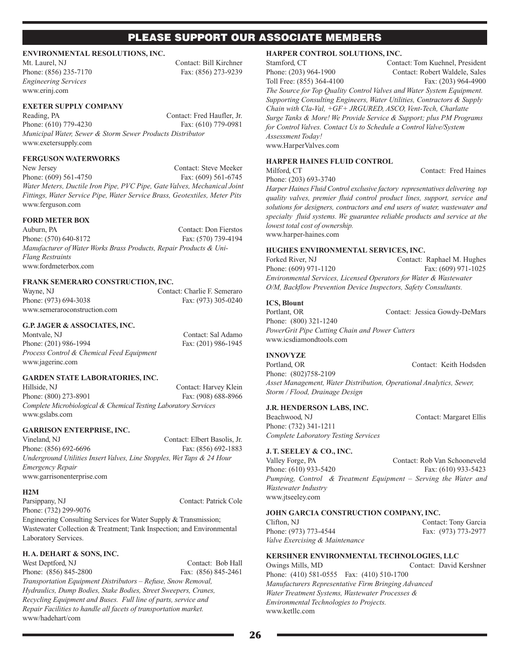#### **ENVIRONMENTAL RESOLUTIONS, INC.**

*Engineering Services* www.erinj.com

Mt. Laurel, NJ Contact: Bill Kirchner Phone: (856) 235-7170 Fax: (856) 273-9239

#### **EXETER SUPPLY COMPANY**

Reading, PA Contact: Fred Haufler, Jr. Phone: (610) 779-4230 Fax: (610) 779-0981 *Municipal Water, Sewer & Storm Sewer Products Distributor* www.exetersupply.com

#### **FERGUSON WATERWORKS**

New Jersey Contact: Steve Meeker Phone: (609) 561-4750 Fax: (609) 561-6745 *Water Meters, Ductile Iron Pipe, PVC Pipe, GateValves, Mechanical Joint Fittings, Water Service Pipe, Water Service Brass, Geotextiles, Meter Pits* www.ferguson.com

### **FORD METER BOX**

Auburn, PA Contact: Don Fierstos Phone: (570) 640-8172 Fax: (570) 739-4194 *Manufacturer of Water Works Brass Products, Repair Products & Uni-Flang Restraints* www.fordmeterbox.com

#### **FRANK SEMERARO CONSTRUCTION, INC.**

Wayne, NJ Contact: Charlie F. Semeraro Phone: (973) 694-3038 Fax: (973) 305-0240 www.semeraroconstruction.com

#### **G.P. JAGER & ASSOCIATES, INC.**

Montvale, NJ Contact: Sal Adamo Phone: (201) 986-1994 Fax: (201) 986-1945 *Process Control & Chemical Feed Equipment* www.jagerinc.com

**GARDEN STATE LABORATORIES, INC.**

Hillside, NJ Contact: Harvey Klein Phone: (800) 273-8901 Fax: (908) 688-8966 *Complete Microbiological & Chemical Testing Laboratory Services* www.gslabs.com

#### **GARRISON ENTERPRISE, INC.**

Vineland, NJ Contact: Elbert Basolis, Jr. Phone: (856) 692-6696 Fax: (856) 692-1883 *Underground Utilities Insert Valves, Line Stopples, Wet Taps & 24 Hour Emergency Repair* www.garrisonenterprise.com

#### **H2M**

Parsippany, NJ Contact: Patrick Cole Phone: (732) 299-9076 Engineering Consulting Services for Water Supply & Transmission; Wastewater Collection & Treatment; Tank Inspection; and Environmental Laboratory Services.

#### **H.A. DEHART & SONS, INC.**

West Deptford, NJ Contact: Bob Hall Phone: (856) 845-2800 Fax: (856) 845-2461

*Transportation Equipment Distributors – Refuse, Snow Removal, Hydraulics, Dump Bodies, Stake Bodies, Street Sweepers, Cranes, Recycling Equipment and Buses. Full line of parts, service and Repair Facilities to handle all facets of transportation market.* www/hadehart/com

## **HARPER CONTROL SOLUTIONS, INC.**

Stamford, CT Contact: Tom Kuehnel, President Phone: (203) 964-1900 Contact: Robert Waldele, Sales Toll Free: (855) 364-4100 Fax: (203) 964-4900 *The Source for Top Quality Control Valves and Water System Equipment. Supporting Consulting Engineers, Water Utilities, Contractors & Supply Chain with Cla-Val, +GF+ JRGURED, ASCO, Vent-Tech, Charlatte Surge Tanks & More! We Provide Service & Support; plus PM Programs for Control Valves. Contact Us to Schedule a Control Valve/System Assessment Today!* www.HarperValves.com

**HARPER HAINES FLUID CONTROL**

#### Milford, CT Contact: Fred Haines

Phone: (203) 693-3740

*Harper Haines Fluid Control exclusive factory representatives delivering top quality valves, premier fluid control product lines, support, service and solutions for designers, contractors and end users of water, wastewater and specialty fluid systems. We guarantee reliable products and service at the lowest total cost of ownership.* www.harper-haines.com

#### **HUGHES ENVIRONMENTAL SERVICES, INC.**

Forked River, NJ Contact: Raphael M. Hughes Phone: (609) 971-1120 Fax: (609) 971-1025 *Environmental Services, Licensed Operators for Water & Wastewater O/M, Backflow Prevention Device Inspectors, Safety Consultants.*

### **ICS, Blount**

Portlant, OR Contact: Jessica Gowdy-DeMars Phone: (800) 321-1240 *PowerGrit Pipe Cutting Chain and Power Cutters* www.icsdiamondtools.com

#### **INNOVYZE**

Portland, OR Contact: Keith Hodsden Phone: (802)758-2109 *Asset Management, Water Distribution, Operational Analytics, Sewer, Storm / Flood, Drainage Design*

#### **J.R. HENDERSON LABS, INC.**

Beachwood, NJ Contact: Margaret Ellis Phone: (732) 341-1211 *Complete Laboratory Testing Services*

#### **J.T. SEELEY & CO., INC.**

Valley Forge, PA Contact: Rob Van Schooneveld Phone: (610) 933-5420 Fax: (610) 933-5423 *Pumping, Control & Treatment Equipment – Serving the Water and Wastewater Industry* www.jtseeley.com

#### **JOHN GARCIA CONSTRUCTION COMPANY, INC.**

Clifton, NJ Contact: Tony Garcia Phone: (973) 773-4544 Fax: (973) 773-2977 *Valve Exercising & Maintenance*

**KERSHNER ENVIRONMENTAL TECHNOLOGIES, LLC** Owings Mills, MD Contact: David Kershner Phone: (410) 581-0555 Fax: (410) 510-1700 *Manufacturers Representative Firm Bringing Advanced Water Treatment Systems, Wastewater Processes & Environmental Technologies to Projects.* www.ketllc.com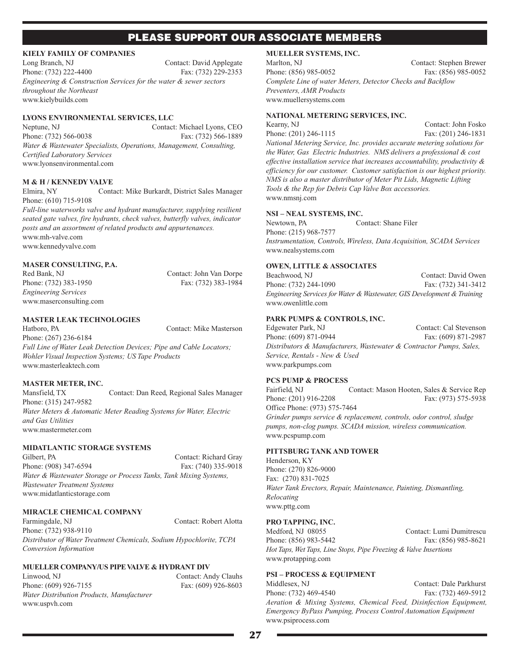#### **KIELY FAMILY OF COMPANIES**

Long Branch, NJ Contact: David Applegate Phone: (732) 222-4400 Fax: (732) 229-2353 *Engineering & Construction Services for the water & sewer sectors throughout the Northeast* www.kielybuilds.com

#### **LYONS ENVIRONMENTAL SERVICES, LLC**

Neptune, NJ Contact: Michael Lyons, CEO Phone: (732) 566-0038 Fax: (732) 566-1889 *Water & Wastewater Specialists, Operations, Management, Consulting, Certified Laboratory Services* www.lyonsenvironmental.com

#### **M & H / KENNEDY VALVE**

Elmira, NY Contact: Mike Burkardt, District Sales Manager Phone: (610) 715-9108

*Full-line waterworks valve and hydrant manufacturer, supplying resilient seated gate valves, fire hydrants, check valves, butterfly valves, indicator posts and an assortment of related products and appurtenances.* www.mh-valve.com www.kennedyvalve.com

#### **MASER CONSULTING, P.A.**

Red Bank, NJ Contact: John Van Dorpe Phone: (732) 383-1950 Fax: (732) 383-1984 *Engineering Services* www.maserconsulting.com

### **MASTER LEAK TECHNOLOGIES**

Hatboro, PA Contact: Mike Masterson Phone: (267) 236-6184 *Full Line of Water Leak Detection Devices; Pipe and Cable Locators; Wohler Visual Inspection Systems; US Tape Products* www.masterleaktech.com

### **MASTER METER, INC.**

Mansfield, TX Contact: Dan Reed, Regional Sales Manager Phone: (315) 247-9582 *Water Meters & Automatic Meter Reading Systems for Water, Electric and Gas Utilities* www.mastermeter.com

### **MIDATLANTIC STORAGE SYSTEMS**

Gilbert, PA Contact: Richard Gray Phone: (908) 347-6594 Fax: (740) 335-9018 *Water & Wastewater Storage or Process Tanks, Tank Mixing Systems, Wastewater Treatment Systems* www.midatlanticstorage.com

### **MIRACLE CHEMICAL COMPANY**

Farmingdale, NJ Contact: Robert Alotta Phone: (732) 938-9110

*Distributor of Water Treatment Chemicals, Sodium Hypochlorite, TCPA Conversion Information*

#### **MUELLER COMPANY/US PIPEVALVE & HYDRANT DIV**

Linwood, NJ Contact: Andy Clauhs Phone: (609) 926-7155 Fax: (609) 926-8603 *Water Distribution Products, Manufacturer* www.uspvh.com

# **MUELLER SYSTEMS, INC.**

Marlton, NJ Contact: Stephen Brewer Phone: (856) 985-0052 Fax: (856) 985-0052 *Complete Line of water Meters, Detector Checks and Backflow Preventers, AMR Products* www.muellersystems.com

#### **NATIONAL METERING SERVICES, INC.**

Kearny, NJ Contact: John Fosko Phone: (201) 246-1115 Fax: (201) 246-1831 *National Metering Service, Inc. provides accurate metering solutions for the Water, Gas Electric Industries. NMS delivers a professional & cost effective installation service that increases accountability, productivity & efficiency for our customer. Customer satisfaction is our highest priority. NMS is also a master distributor of Meter Pit Lids, Magnetic Lifting Tools & the Rep for Debris Cap Valve Box accessories.* www.nmsnj.com

#### **NSI – NEAL SYSTEMS, INC.**

Newtown, PA Contact: Shane Filer Phone: (215) 968-7577 *Instrumentation, Controls, Wireless, Data Acquisition, SCADA Services* www.nealsystems.com

#### **OWEN, LITTLE & ASSOCIATES**

Beachwood, NJ Contact: David Owen Phone: (732) 244-1090 Fax: (732) 341-3412 *Engineering Services for Water & Wastewater, GIS Development &Training* www.owenlittle.com

#### **PARK PUMPS & CONTROLS, INC.**

Edgewater Park, NJ Contact: Cal Stevenson Phone: (609) 871-0944 Fax: (609) 871-2987 *Distributors & Manufacturers, Wastewater & Contractor Pumps, Sales, Service, Rentals - New & Used* www.parkpumps.com

#### **PCS PUMP & PROCESS**

Fairfield, NJ Contact: Mason Hooten, Sales & Service Rep Phone: (201) 916-2208 Fax: (973) 575-5938 Office Phone: (973) 575-7464 *Grinder pumps service & replacement, controls, odor control, sludge pumps, non-clog pumps. SCADA mission, wireless communication.* www.pcspump.com

#### **PITTSBURG TANK AND TOWER**

Henderson, KY Phone: (270) 826-9000 Fax: (270) 831-7025 *Water Tank Erectors, Repair, Maintenance, Painting, Dismantling, Relocating* www.pttg.com

#### **PRO TAPPING, INC.**

Medford, NJ 08055 Contact: Lumi Dumitrescu Phone: (856) 983-5442 Fax: (856) 985-8621 *Hot Taps, Wet Taps, Line Stops, Pipe Freezing & Valve Insertions* www.protapping.com

#### **PSI – PROCESS & EQUIPMENT**

Middlesex, NJ Contact: Dale Parkhurst Phone: (732) 469-4540 Fax: (732) 469-5912 *Aeration & Mixing Systems, Chemical Feed, Disinfection Equipment, Emergency ByPass Pumping, Process Control Automation Equipment* www.psiprocess.com

27